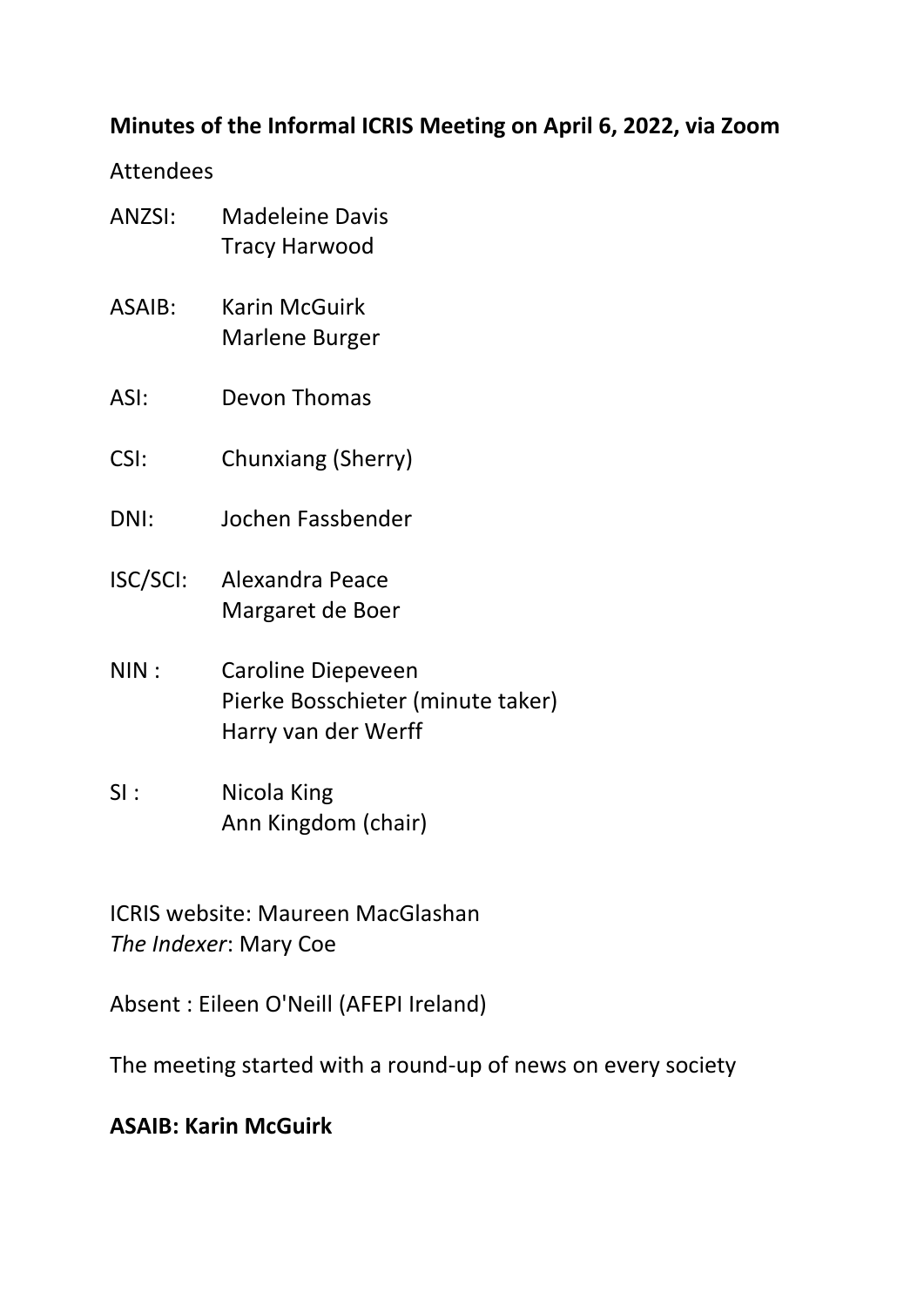## **Minutes of the Informal ICRIS Meeting on April 6, 2022, via Zoom**

Attendees

| ANZSI:   | <b>Madeleine Davis</b><br>Tracy Harwood                                        |
|----------|--------------------------------------------------------------------------------|
| ASAIB:   | <b>Karin McGuirk</b><br>Marlene Burger                                         |
| ASI:     | Devon Thomas                                                                   |
| CSI:     | Chunxiang (Sherry)                                                             |
| DNI:     | Jochen Fassbender                                                              |
| ISC/SCI: | Alexandra Peace<br>Margaret de Boer                                            |
| NIN:     | Caroline Diepeveen<br>Pierke Bosschieter (minute taker)<br>Harry van der Werff |
| SI:      | Nicola King<br>Ann Kingdom (chair)                                             |
|          |                                                                                |

ICRIS website: Maureen MacGlashan *The Indexer*: Mary Coe

Absent : Eileen O'Neill (AFEPI Ireland)

The meeting started with a round-up of news on every society

### **ASAIB: Karin McGuirk**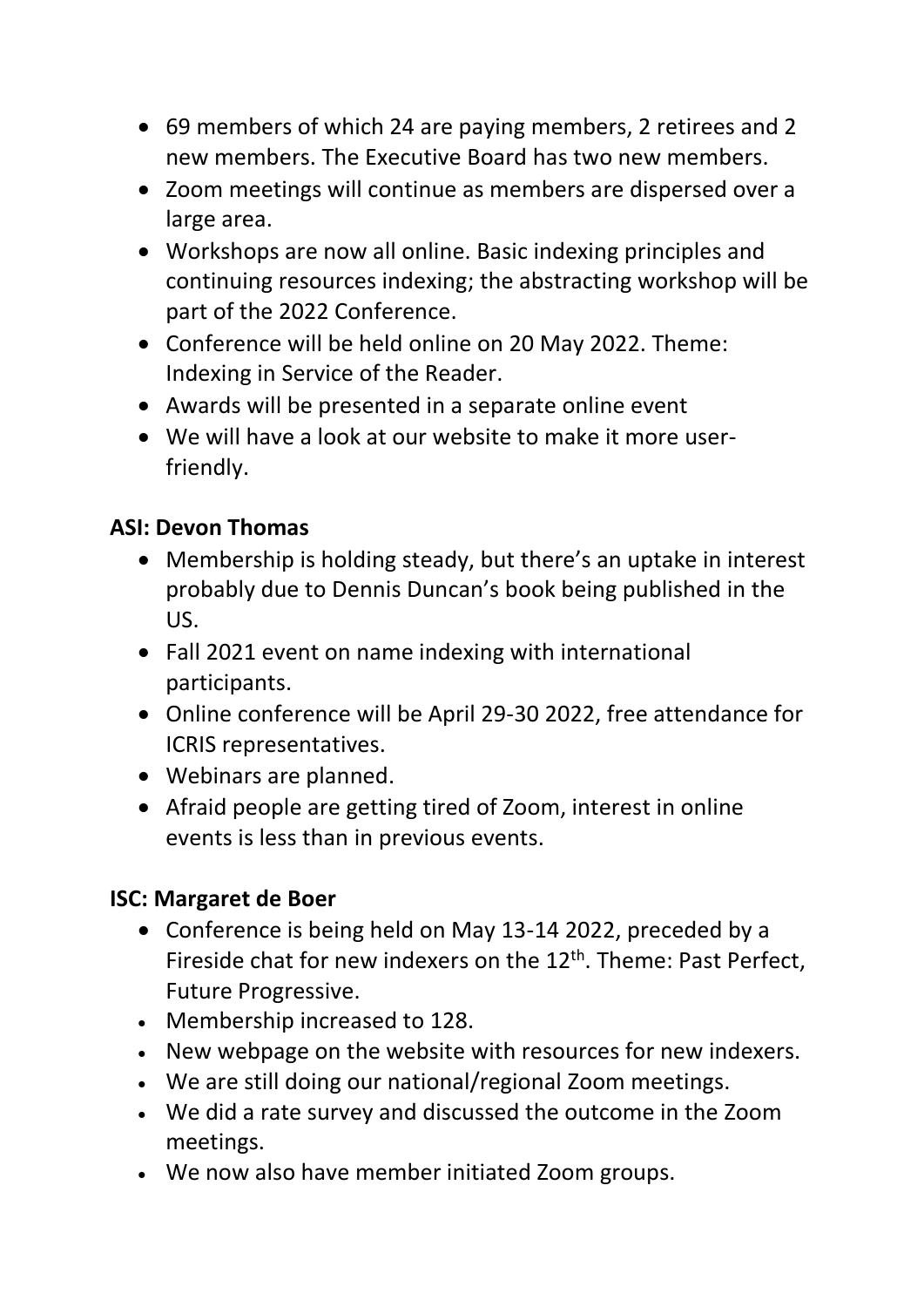- 69 members of which 24 are paying members, 2 retirees and 2 new members. The Executive Board has two new members.
- Zoom meetings will continue as members are dispersed over a large area.
- Workshops are now all online. Basic indexing principles and continuing resources indexing; the abstracting workshop will be part of the 2022 Conference.
- Conference will be held online on 20 May 2022. Theme: Indexing in Service of the Reader.
- Awards will be presented in a separate online event
- We will have a look at our website to make it more userfriendly.

#### **ASI: Devon Thomas**

- Membership is holding steady, but there's an uptake in interest probably due to Dennis Duncan's book being published in the US.
- Fall 2021 event on name indexing with international participants.
- Online conference will be April 29-30 2022, free attendance for ICRIS representatives.
- Webinars are planned.
- Afraid people are getting tired of Zoom, interest in online events is less than in previous events.

#### **ISC: Margaret de Boer**

- Conference is being held on May 13-14 2022, preceded by a Fireside chat for new indexers on the 12<sup>th</sup>. Theme: Past Perfect, Future Progressive.
- Membership increased to 128.
- New webpage on the website with resources for new indexers.
- We are still doing our national/regional Zoom meetings.
- We did a rate survey and discussed the outcome in the Zoom meetings.
- We now also have member initiated Zoom groups.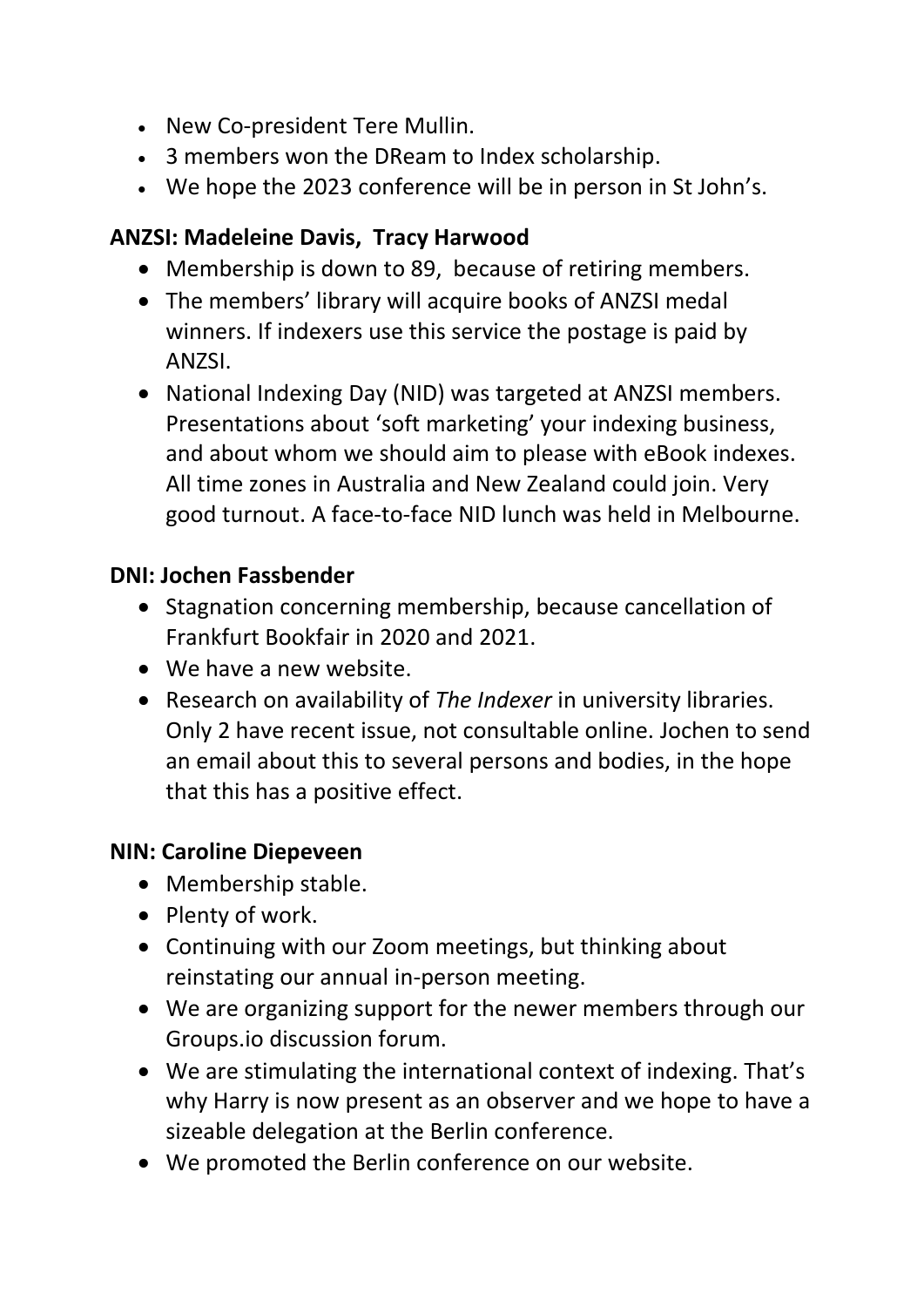- New Co-president Tere Mullin.
- 3 members won the DReam to Index scholarship.
- We hope the 2023 conference will be in person in St John's.

### **ANZSI: Madeleine Davis, Tracy Harwood**

- Membership is down to 89, because of retiring members.
- The members' library will acquire books of ANZSI medal winners. If indexers use this service the postage is paid by ANZSI.
- National Indexing Day (NID) was targeted at ANZSI members. Presentations about 'soft marketing' your indexing business, and about whom we should aim to please with eBook indexes. All time zones in Australia and New Zealand could join. Very good turnout. A face-to-face NID lunch was held in Melbourne.

## **DNI: Jochen Fassbender**

- Stagnation concerning membership, because cancellation of Frankfurt Bookfair in 2020 and 2021.
- We have a new website.
- Research on availability of *The Indexer* in university libraries. Only 2 have recent issue, not consultable online. Jochen to send an email about this to several persons and bodies, in the hope that this has a positive effect.

# **NIN: Caroline Diepeveen**

- Membership stable.
- Plenty of work.
- Continuing with our Zoom meetings, but thinking about reinstating our annual in-person meeting.
- We are organizing support for the newer members through our Groups.io discussion forum.
- We are stimulating the international context of indexing. That's why Harry is now present as an observer and we hope to have a sizeable delegation at the Berlin conference.
- We promoted the Berlin conference on our website.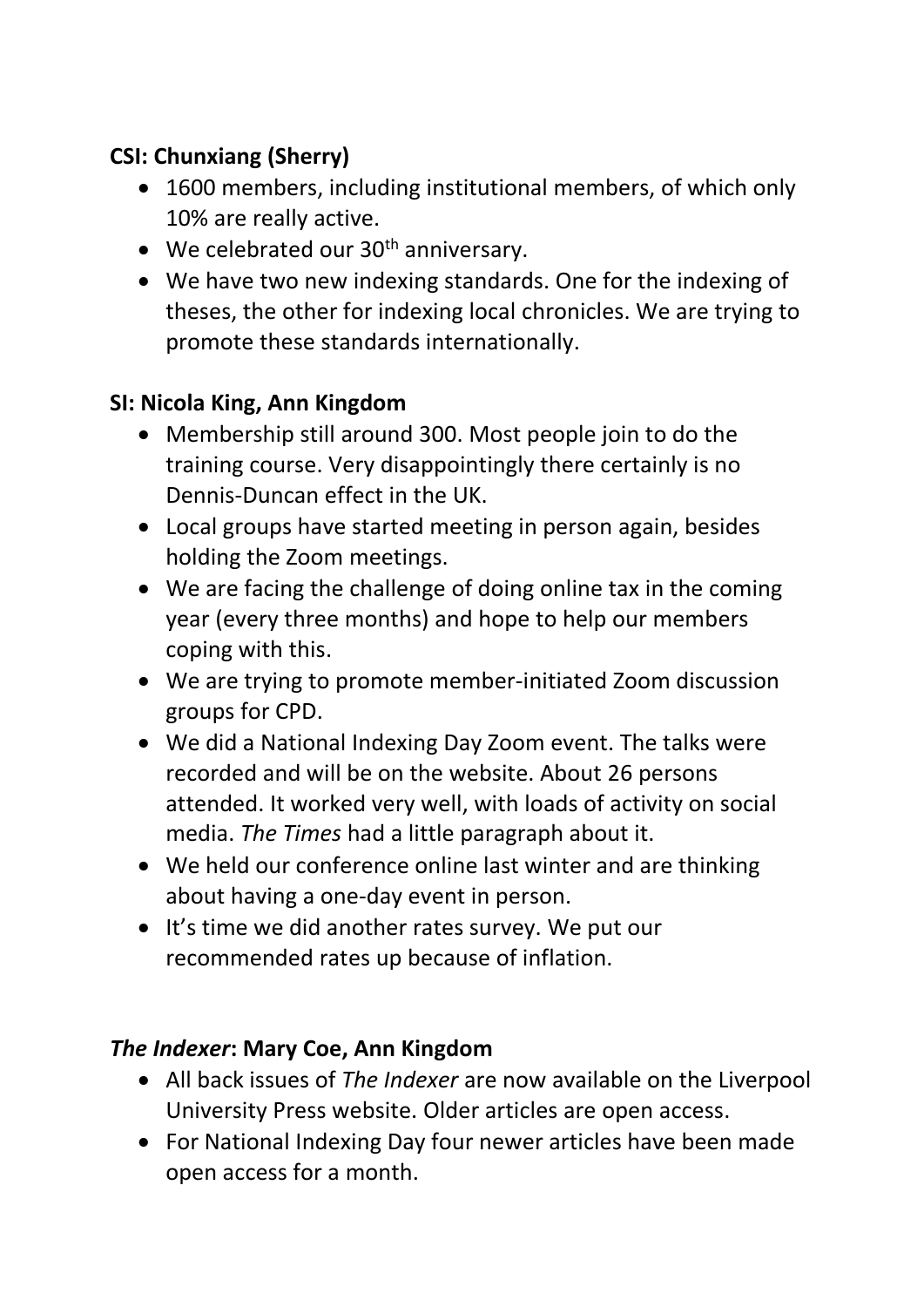# **CSI: Chunxiang (Sherry)**

- 1600 members, including institutional members, of which only 10% are really active.
- We celebrated our  $30<sup>th</sup>$  anniversary.
- We have two new indexing standards. One for the indexing of theses, the other for indexing local chronicles. We are trying to promote these standards internationally.

# **SI: Nicola King, Ann Kingdom**

- Membership still around 300. Most people join to do the training course. Very disappointingly there certainly is no Dennis-Duncan effect in the UK.
- Local groups have started meeting in person again, besides holding the Zoom meetings.
- We are facing the challenge of doing online tax in the coming year (every three months) and hope to help our members coping with this.
- We are trying to promote member-initiated Zoom discussion groups for CPD.
- We did a National Indexing Day Zoom event. The talks were recorded and will be on the website. About 26 persons attended. It worked very well, with loads of activity on social media. *The Times* had a little paragraph about it.
- We held our conference online last winter and are thinking about having a one-day event in person.
- It's time we did another rates survey. We put our recommended rates up because of inflation.

# *The Indexer***: Mary Coe, Ann Kingdom**

- All back issues of *The Indexer* are now available on the Liverpool University Press website. Older articles are open access.
- For National Indexing Day four newer articles have been made open access for a month.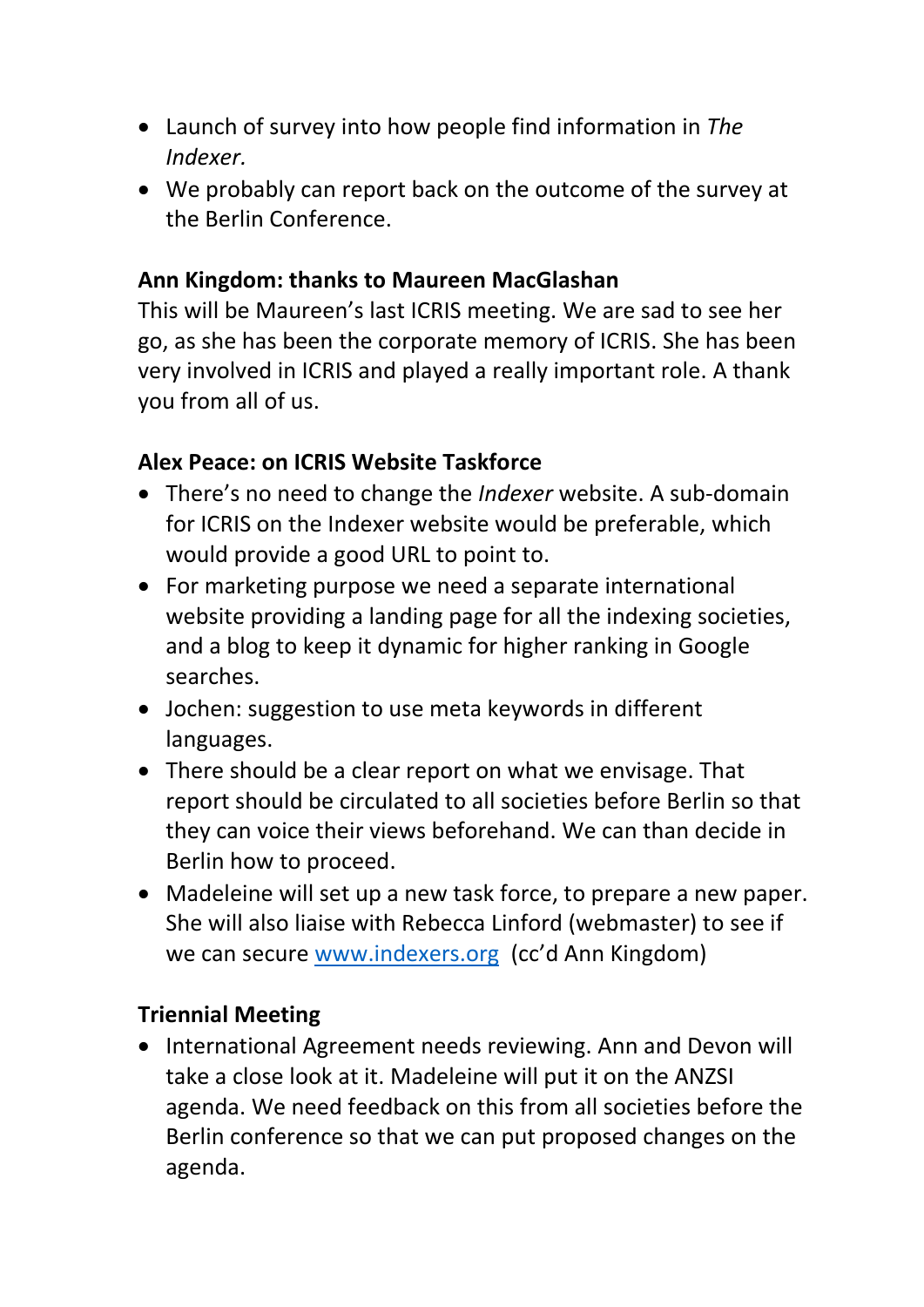- Launch of survey into how people find information in *The Indexer.*
- We probably can report back on the outcome of the survey at the Berlin Conference.

### **Ann Kingdom: thanks to Maureen MacGlashan**

This will be Maureen's last ICRIS meeting. We are sad to see her go, as she has been the corporate memory of ICRIS. She has been very involved in ICRIS and played a really important role. A thank you from all of us.

#### **Alex Peace: on ICRIS Website Taskforce**

- There's no need to change the *Indexer* website. A sub-domain for ICRIS on the Indexer website would be preferable, which would provide a good URL to point to.
- For marketing purpose we need a separate international website providing a landing page for all the indexing societies, and a blog to keep it dynamic for higher ranking in Google searches.
- Jochen: suggestion to use meta keywords in different languages.
- There should be a clear report on what we envisage. That report should be circulated to all societies before Berlin so that they can voice their views beforehand. We can than decide in Berlin how to proceed.
- Madeleine will set up a new task force, to prepare a new paper. She will also liaise with Rebecca Linford (webmaster) to see if we can secure [www.indexers.org](http://www.indexers.org/) (cc'd Ann Kingdom)

# **Triennial Meeting**

• International Agreement needs reviewing. Ann and Devon will take a close look at it. Madeleine will put it on the ANZSI agenda. We need feedback on this from all societies before the Berlin conference so that we can put proposed changes on the agenda.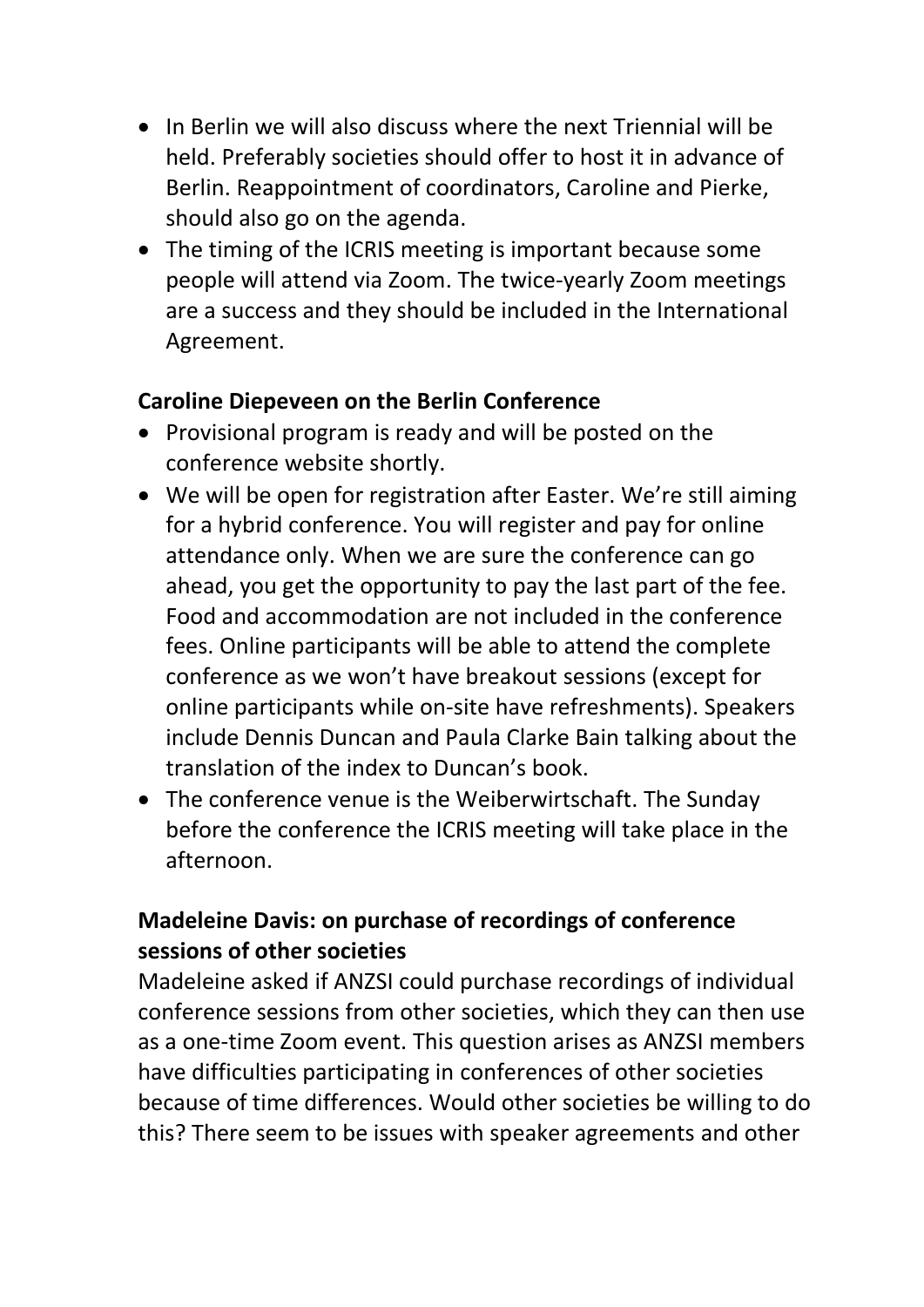- In Berlin we will also discuss where the next Triennial will be held. Preferably societies should offer to host it in advance of Berlin. Reappointment of coordinators, Caroline and Pierke, should also go on the agenda.
- The timing of the ICRIS meeting is important because some people will attend via Zoom. The twice-yearly Zoom meetings are a success and they should be included in the International Agreement.

## **Caroline Diepeveen on the Berlin Conference**

- Provisional program is ready and will be posted on the conference website shortly.
- We will be open for registration after Easter. We're still aiming for a hybrid conference. You will register and pay for online attendance only. When we are sure the conference can go ahead, you get the opportunity to pay the last part of the fee. Food and accommodation are not included in the conference fees. Online participants will be able to attend the complete conference as we won't have breakout sessions (except for online participants while on-site have refreshments). Speakers include Dennis Duncan and Paula Clarke Bain talking about the translation of the index to Duncan's book.
- The conference venue is the Weiberwirtschaft. The Sunday before the conference the ICRIS meeting will take place in the afternoon.

# **Madeleine Davis: on purchase of recordings of conference sessions of other societies**

Madeleine asked if ANZSI could purchase recordings of individual conference sessions from other societies, which they can then use as a one-time Zoom event. This question arises as ANZSI members have difficulties participating in conferences of other societies because of time differences. Would other societies be willing to do this? There seem to be issues with speaker agreements and other